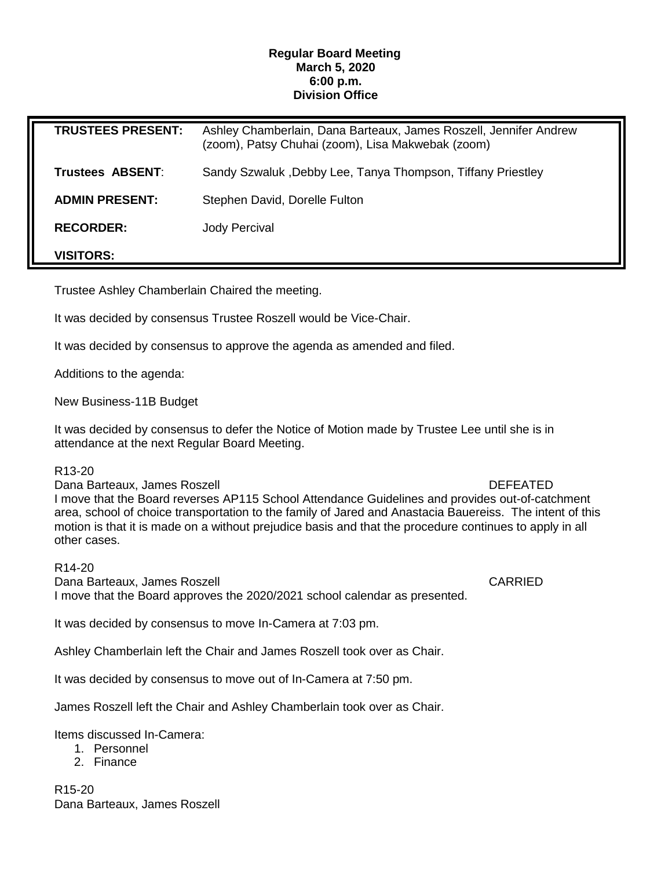# **Regular Board Meeting March 5, 2020 6:00 p.m. Division Office**

| <b>TRUSTEES PRESENT:</b> | Ashley Chamberlain, Dana Barteaux, James Roszell, Jennifer Andrew<br>(zoom), Patsy Chuhai (zoom), Lisa Makwebak (zoom) |
|--------------------------|------------------------------------------------------------------------------------------------------------------------|
| Trustees ABSENT:         | Sandy Szwaluk, Debby Lee, Tanya Thompson, Tiffany Priestley                                                            |
| <b>ADMIN PRESENT:</b>    | Stephen David, Dorelle Fulton                                                                                          |
| <b>RECORDER:</b>         | <b>Jody Percival</b>                                                                                                   |
| <b>VISITORS:</b>         |                                                                                                                        |

Trustee Ashley Chamberlain Chaired the meeting.

It was decided by consensus Trustee Roszell would be Vice-Chair.

It was decided by consensus to approve the agenda as amended and filed.

Additions to the agenda:

New Business-11B Budget

It was decided by consensus to defer the Notice of Motion made by Trustee Lee until she is in attendance at the next Regular Board Meeting.

### R13-20

Dana Barteaux, James Roszell DEFEATED I move that the Board reverses AP115 School Attendance Guidelines and provides out-of-catchment area, school of choice transportation to the family of Jared and Anastacia Bauereiss. The intent of this motion is that it is made on a without prejudice basis and that the procedure continues to apply in all other cases.

R14-20 Dana Barteaux, James Roszell CARRIED I move that the Board approves the 2020/2021 school calendar as presented.

It was decided by consensus to move In-Camera at 7:03 pm.

Ashley Chamberlain left the Chair and James Roszell took over as Chair.

It was decided by consensus to move out of In-Camera at 7:50 pm.

James Roszell left the Chair and Ashley Chamberlain took over as Chair.

Items discussed In-Camera:

- 1. Personnel
- 2. Finance

R15-20 Dana Barteaux, James Roszell